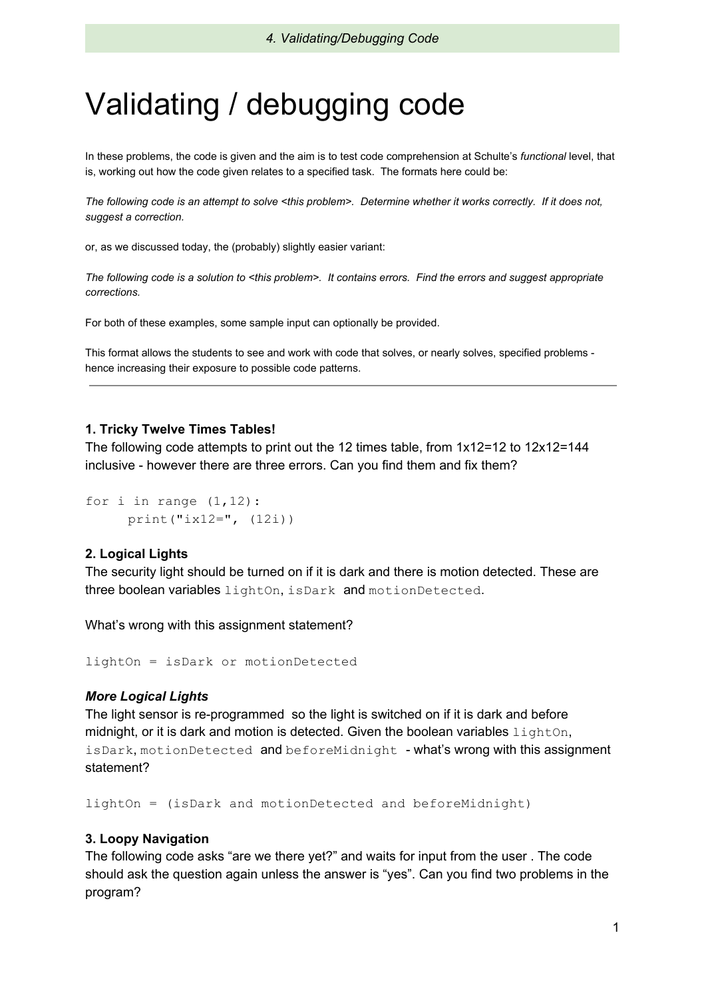# Validating / debugging code

In these problems, the code is given and the aim is to test code comprehension at Schulte's *functional* level, that is, working out how the code given relates to a specified task. The formats here could be:

*The following code is an attempt to solve <this problem>. Determine whether it works correctly. If it does not, suggest a correction.*

or, as we discussed today, the (probably) slightly easier variant:

*The following code is a solution to <this problem>. It contains errors. Find the errors and suggest appropriate corrections.*

For both of these examples, some sample input can optionally be provided.

This format allows the students to see and work with code that solves, or nearly solves, specified problems hence increasing their exposure to possible code patterns.

#### **1. Tricky Twelve Times Tables!**

The following code attempts to print out the 12 times table, from 1x12=12 to 12x12=144 inclusive - however there are three errors. Can you find them and fix them?

```
for i in range (1, 12):
     print("ix12=", (12i))
```
## **2. Logical Lights**

The security light should be turned on if it is dark and there is motion detected. These are three boolean variables lightOn, isDark and motionDetected.

What's wrong with this assignment statement?

lightOn = isDark or motionDetected

## *More Logical Lights*

The light sensor is re-programmed so the light is switched on if it is dark and before midnight, or it is dark and motion is detected. Given the boolean variables  $l$  ightOn, isDark, motionDetected and beforeMidnight - what's wrong with this assignment statement?

lightOn = (isDark and motionDetected and beforeMidnight)

## **3. Loopy Navigation**

The following code asks "are we there yet?" and waits for input from the user . The code should ask the question again unless the answer is "yes". Can you find two problems in the program?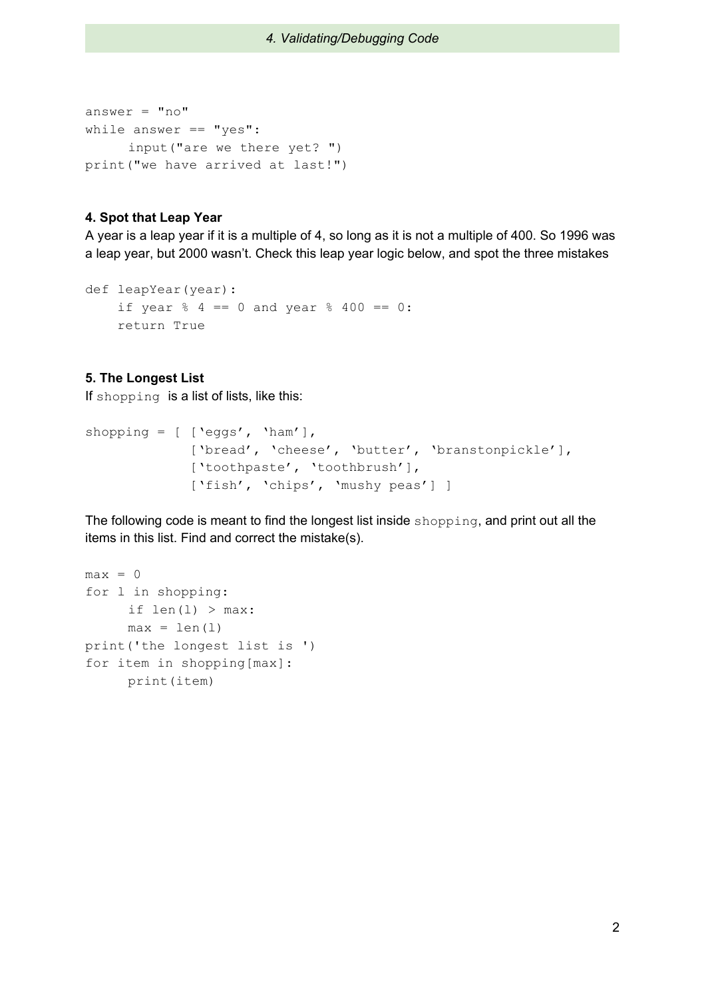```
answer = "no"while answer == "yes":
     input("are we there yet? ")
print("we have arrived at last!")
```
## **4. Spot that Leap Year**

A year is a leap year if it is a multiple of 4, so long as it is not a multiple of 400. So 1996 was a leap year, but 2000 wasn't. Check this leap year logic below, and spot the three mistakes

```
def leapYear(year):
    if year % 4 == 0 and year % 400 == 0:
   return True
```
## **5. The Longest List**

If shopping is a list of lists, like this:

```
shopping = [ ['eggs', 'ham'],
             ['bread', 'cheese', 'butter', 'branstonpickle'],
             ['toothpaste', 'toothbrush'],
             ['fish', 'chips', 'mushy peas'] ]
```
The following code is meant to find the longest list inside shopping, and print out all the items in this list. Find and correct the mistake(s).

```
max = 0for l in shopping:
     if len(1) > max:
     max = len(1)print('the longest list is ')
for item in shopping[max]:
     print(item)
```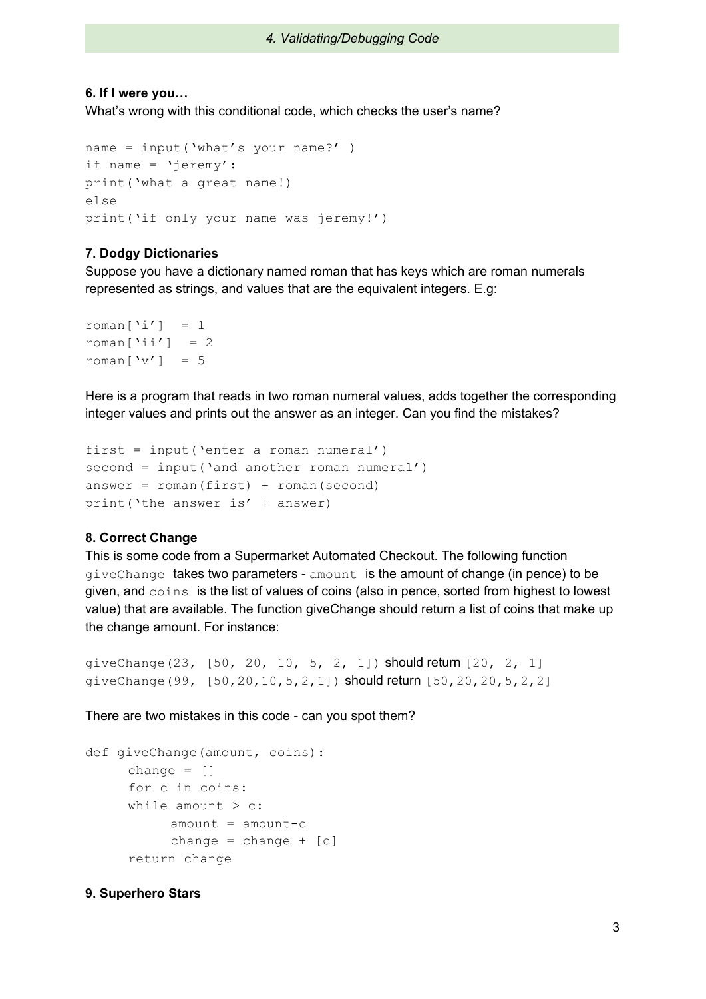## *4. Validating/Debugging Code*

## **6. If I were you…**

What's wrong with this conditional code, which checks the user's name?

```
name = input('what's your name?' )
if name = 'jeremy':
print('what a great name!)
else
print('if only your name was jeremy!')
```
## **7. Dodgy Dictionaries**

Suppose you have a dictionary named roman that has keys which are roman numerals represented as strings, and values that are the equivalent integers. E.g:

```
roman\lceil'i'] = 1
roman\lceil'ii'] = 2
roman[vv'] = 5
```
Here is a program that reads in two roman numeral values, adds together the corresponding integer values and prints out the answer as an integer. Can you find the mistakes?

```
first = input('enter a roman numeral')
second = input('and another roman numeral')answer = r = r \cdot \text{mean}(first) + r \cdot \text{mean}(second)print('the answer is' + answer)
```
## **8. Correct Change**

This is some code from a Supermarket Automated Checkout. The following function giveChange takes two parameters - amount is the amount of change (in pence) to be given, and coins is the list of values of coins (also in pence, sorted from highest to lowest value) that are available. The function giveChange should return a list of coins that make up the change amount. For instance:

```
giveChange(23, [50, 20, 10, 5, 2, 1]) should return [20, 2, 1]
giveChange(99, [50,20,10,5,2,1]) should return [50,20,20,5,2,2]
```
There are two mistakes in this code - can you spot them?

```
def giveChange(amount, coins):
     change = []for c in coins:
     while amount > c:
          amount = amount -cchange = change + [c]return change
```
## **9. Superhero Stars**